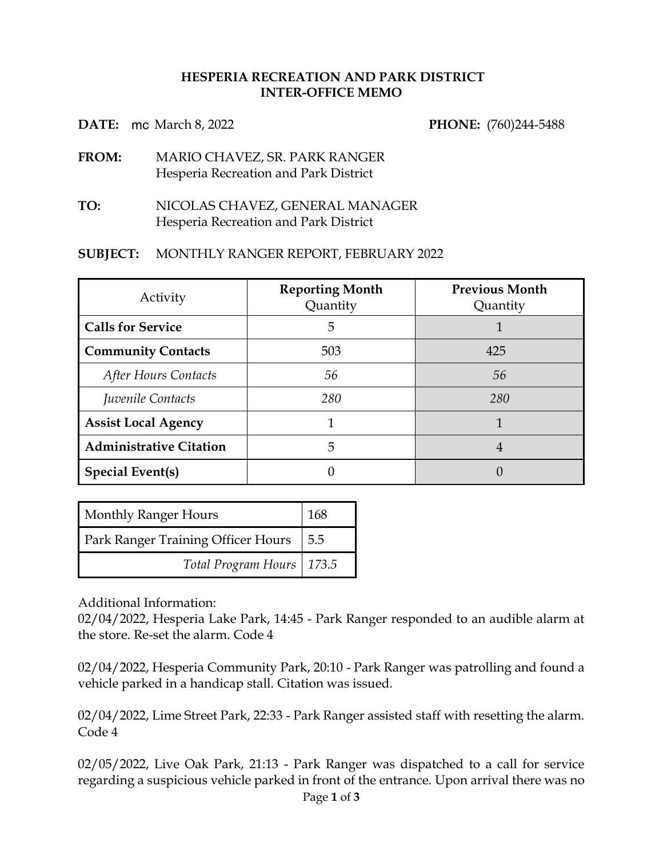## **HESPERIA RECREATION AND PARK DISTRICT INTER-OFFICE MEMO**

**DATE:** mc March 8, 2022 **PHONE:** (760)244-5488

- **FROM:** MARIO CHAVEZ, SR. PARK RANGER Hesperia Recreation and Park District
- **TO:** NICOLAS CHAVEZ, GENERAL MANAGER Hesperia Recreation and Park District

## **SUBJECT:** MONTHLY RANGER REPORT, FEBRUARY 2022

| Activity                       | <b>Reporting Month</b><br>Quantity | <b>Previous Month</b><br>Quantity |
|--------------------------------|------------------------------------|-----------------------------------|
| <b>Calls for Service</b>       | 5                                  |                                   |
| <b>Community Contacts</b>      | 503                                | 425                               |
| After Hours Contacts           | 56                                 | 56                                |
| Juvenile Contacts              | 280                                | 280                               |
| <b>Assist Local Agency</b>     |                                    |                                   |
| <b>Administrative Citation</b> | 5                                  | 4                                 |
| <b>Special Event(s)</b>        |                                    |                                   |

| <b>Monthly Ranger Hours</b>              | 168 |
|------------------------------------------|-----|
| Park Ranger Training Officer Hours   5.5 |     |
| Total Program Hours   173.5              |     |

Additional Information:

02/04/2022, Hesperia Lake Park, 14:45 - Park Ranger responded to an audible alarm at the store. Re-set the alarm. Code 4

02/04/2022, Hesperia Community Park, 20:10 - Park Ranger was patrolling and found a vehicle parked in a handicap stall. Citation was issued.

02/04/2022, Lime Street Park, 22:33 - Park Ranger assisted staff with resetting the alarm. Code 4

02/05/2022, Live Oak Park, 21:13 - Park Ranger was dispatched to a call for service regarding a suspicious vehicle parked in front of the entrance. Upon arrival there was no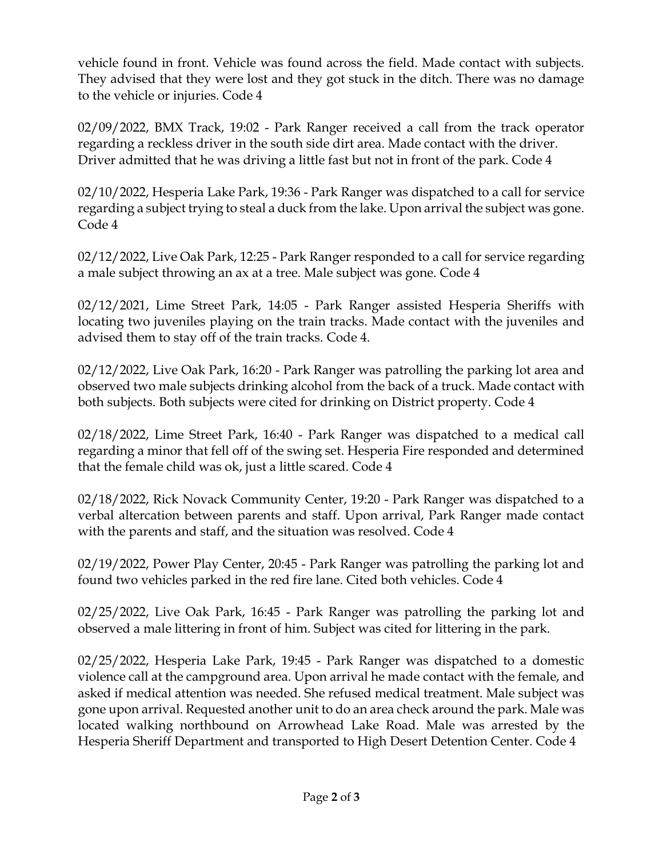vehicle found in front. Vehicle was found across the field. Made contact with subjects. They advised that they were lost and they got stuck in the ditch. There was no damage to the vehicle or injuries. Code 4

02/09/2022, BMX Track, 19:02 - Park Ranger received a call from the track operator regarding a reckless driver in the south side dirt area. Made contact with the driver. Driver admitted that he was driving a little fast but not in front of the park. Code 4

02/10/2022, Hesperia Lake Park, 19:36 - Park Ranger was dispatched to a call for service regarding a subject trying to steal a duck from the lake. Upon arrival the subject was gone. Code 4

02/12/2022, Live Oak Park, 12:25 - Park Ranger responded to a call for service regarding a male subject throwing an ax at a tree. Male subject was gone. Code 4

02/12/2021, Lime Street Park, 14:05 - Park Ranger assisted Hesperia Sheriffs with locating two juveniles playing on the train tracks. Made contact with the juveniles and advised them to stay off of the train tracks. Code 4.

02/12/2022, Live Oak Park, 16:20 - Park Ranger was patrolling the parking lot area and observed two male subjects drinking alcohol from the back of a truck. Made contact with both subjects. Both subjects were cited for drinking on District property. Code 4

02/18/2022, Lime Street Park, 16:40 - Park Ranger was dispatched to a medical call regarding a minor that fell off of the swing set. Hesperia Fire responded and determined that the female child was ok, just a little scared. Code 4

02/18/2022, Rick Novack Community Center, 19:20 - Park Ranger was dispatched to a verbal altercation between parents and staff. Upon arrival, Park Ranger made contact with the parents and staff, and the situation was resolved. Code 4

02/19/2022, Power Play Center, 20:45 - Park Ranger was patrolling the parking lot and found two vehicles parked in the red fire lane. Cited both vehicles. Code 4

02/25/2022, Live Oak Park, 16:45 - Park Ranger was patrolling the parking lot and observed a male littering in front of him. Subject was cited for littering in the park.

02/25/2022, Hesperia Lake Park, 19:45 - Park Ranger was dispatched to a domestic violence call at the campground area. Upon arrival he made contact with the female, and asked if medical attention was needed. She refused medical treatment. Male subject was gone upon arrival. Requested another unit to do an area check around the park. Male was located walking northbound on Arrowhead Lake Road. Male was arrested by the Hesperia Sheriff Department and transported to High Desert Detention Center. Code 4